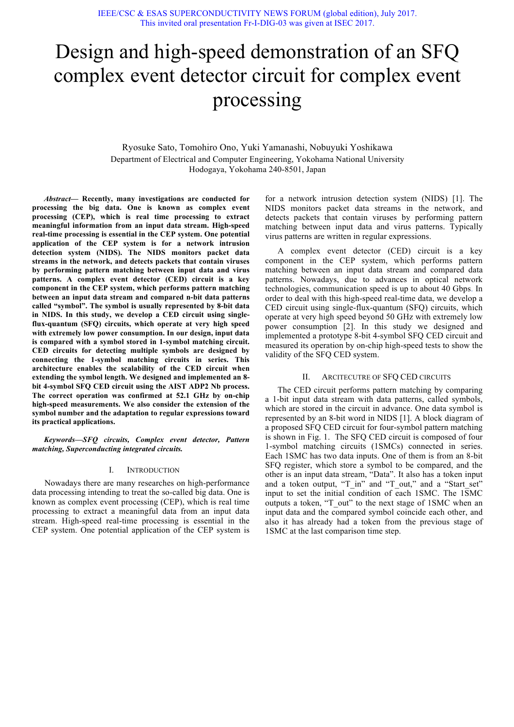# Design and high-speed demonstration of an SFQ complex event detector circuit for complex event processing

Ryosuke Sato, Tomohiro Ono, Yuki Yamanashi, Nobuyuki Yoshikawa Department of Electrical and Computer Engineering, Yokohama National University Hodogaya, Yokohama 240-8501, Japan

*Abstract***— Recently, many investigations are conducted for processing the big data. One is known as complex event processing (CEP), which is real time processing to extract meaningful information from an input data stream. High-speed real-time processing is essential in the CEP system. One potential application of the CEP system is for a network intrusion detection system (NIDS). The NIDS monitors packet data streams in the network, and detects packets that contain viruses by performing pattern matching between input data and virus patterns. A complex event detector (CED) circuit is a key component in the CEP system, which performs pattern matching between an input data stream and compared n-bit data patterns called "symbol". The symbol is usually represented by 8-bit data in NIDS. In this study, we develop a CED circuit using singleflux-quantum (SFQ) circuits, which operate at very high speed with extremely low power consumption. In our design, input data is compared with a symbol stored in 1-symbol matching circuit. CED circuits for detecting multiple symbols are designed by connecting the 1-symbol matching circuits in series. This architecture enables the scalability of the CED circuit when extending the symbol length. We designed and implemented an 8 bit 4-symbol SFQ CED circuit using the AIST ADP2 Nb process. The correct operation was confirmed at 52.1 GHz by on-chip high-speed measurements. We also consider the extension of the symbol number and the adaptation to regular expressions toward its practical applications.**

*Keywords—SFQ circuits, Complex event detector, Pattern matching, Superconducting integrated circuits.*

#### I. INTRODUCTION

Nowadays there are many researches on high-performance data processing intending to treat the so-called big data. One is known as complex event processing (CEP), which is real time processing to extract a meaningful data from an input data stream. High-speed real-time processing is essential in the CEP system. One potential application of the CEP system is

for a network intrusion detection system (NIDS) [1]. The NIDS monitors packet data streams in the network, and detects packets that contain viruses by performing pattern matching between input data and virus patterns. Typically virus patterns are written in regular expressions.

A complex event detector (CED) circuit is a key component in the CEP system, which performs pattern matching between an input data stream and compared data patterns. Nowadays, due to advances in optical network technologies, communication speed is up to about 40 Gbps. In order to deal with this high-speed real-time data, we develop a CED circuit using single-flux-quantum (SFQ) circuits, which operate at very high speed beyond 50 GHz with extremely low power consumption [2]. In this study we designed and implemented a prototype 8-bit 4-symbol SFQ CED circuit and measured its operation by on-chip high-speed tests to show the validity of the SFQ CED system.

#### II. ARCITECUTRE OF SFO CED CIRCUITS

The CED circuit performs pattern matching by comparing a 1-bit input data stream with data patterns, called symbols, which are stored in the circuit in advance. One data symbol is represented by an 8-bit word in NIDS [1]. A block diagram of a proposed SFQ CED circuit for four-symbol pattern matching is shown in Fig. 1. The SFQ CED circuit is composed of four 1-symbol matching circuits (1SMCs) connected in series. Each 1SMC has two data inputs. One of them is from an 8-bit SFQ register, which store a symbol to be compared, and the other is an input data stream, "Data". It also has a token input and a token output, "T\_in" and "T\_out," and a "Start\_set" input to set the initial condition of each 1SMC. The 1SMC outputs a token, "T\_out" to the next stage of 1SMC when an input data and the compared symbol coincide each other, and also it has already had a token from the previous stage of 1SMC at the last comparison time step.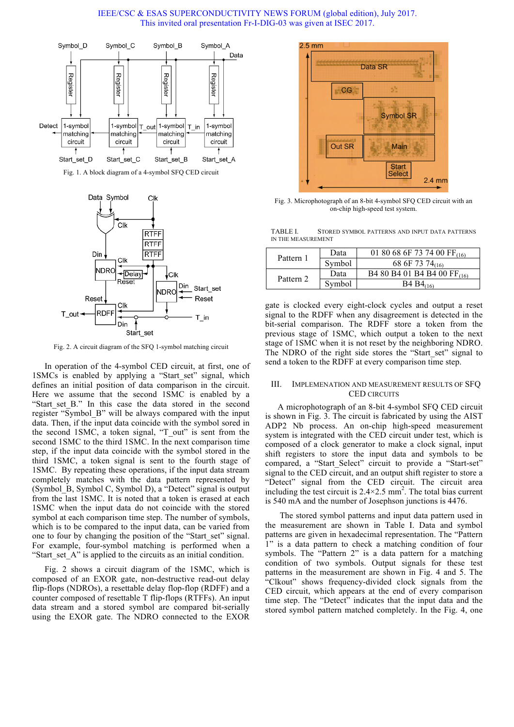IEEE/CSC & ESAS SUPERCONDUCTIVITY NEWS FORUM (global edition), July 2017. This invited oral presentation Fr-I-DIG-03 was given at ISEC 2017.



Fig. 1. A block diagram of a 4-symbol SFQ CED circuit



Fig. 2. A circuit diagram of the SFQ 1-symbol matching circuit

In operation of the 4-symbol CED circuit, at first, one of 1SMCs is enabled by applying a "Start set" signal, which defines an initial position of data comparison in the circuit. Here we assume that the second 1SMC is enabled by a "Start set B." In this case the data stored in the second register "Symbol\_B" will be always compared with the input data. Then, if the input data coincide with the symbol sored in the second 1SMC, a token signal, "T\_out" is sent from the second 1SMC to the third 1SMC. In the next comparison time step, if the input data coincide with the symbol stored in the third 1SMC, a token signal is sent to the fourth stage of 1SMC. By repeating these operations, if the input data stream completely matches with the data pattern represented by (Symbol\_B, Symbol C, Symbol D), a "Detect" signal is output from the last 1SMC. It is noted that a token is erased at each 1SMC when the input data do not coincide with the stored symbol at each comparison time step. The number of symbols, which is to be compared to the input data, can be varied from one to four by changing the position of the "Start\_set" signal. For example, four-symbol matching is performed when a "Start set A" is applied to the circuits as an initial condition.

Fig. 2 shows a circuit diagram of the 1SMC, which is composed of an EXOR gate, non-destructive read-out delay flip-flops (NDROs), a resettable delay flop-flop (RDFF) and a counter composed of resettable T flip-flops (RTFFs). An input data stream and a stored symbol are compared bit-serially using the EXOR gate. The NDRO connected to the EXOR



Fig. 3. Microphotograph of an 8-bit 4-symbol SFQ CED circuit with an on-chip high-speed test system.

TABLE I. STORED SYMBOL PATTERNS AND INPUT DATA PATTERNS IN THE MEASUREMENT

| Pattern 1 | Data   | 01 80 68 6F 73 74 00 $FF_{(16)}$        |
|-----------|--------|-----------------------------------------|
|           | Symbol | 68 6F 73 74 $_{(16)}$                   |
| Pattern 2 | Data   | B4 80 B4 01 B4 B4 00 FF <sub>(16)</sub> |
|           | Symbol | $B4 B4_{(16)}$                          |

gate is clocked every eight-clock cycles and output a reset signal to the RDFF when any disagreement is detected in the bit-serial comparison. The RDFF store a token from the previous stage of 1SMC, which output a token to the next stage of 1SMC when it is not reset by the neighboring NDRO. The NDRO of the right side stores the "Start\_set" signal to send a token to the RDFF at every comparison time step.

#### III. IMPLEMENATION AND MEASUREMENT RESULTS OF SFQ CED CIRCUITS

A microphotograph of an 8-bit 4-symbol SFQ CED circuit is shown in Fig. 3. The circuit is fabricated by using the AIST ADP2 Nb process. An on-chip high-speed measurement system is integrated with the CED circuit under test, which is composed of a clock generator to make a clock signal, input shift registers to store the input data and symbols to be compared, a "Start Select" circuit to provide a "Start-set" signal to the CED circuit, and an output shift register to store a "Detect" signal from the CED circuit. The circuit area including the test circuit is  $2.4 \times 2.5$  mm<sup>2</sup>. The total bias current is 540 mA and the number of Josephson junctions is 4476.

The stored symbol patterns and input data pattern used in the measurement are shown in Table I. Data and symbol patterns are given in hexadecimal representation. The "Pattern 1" is a data pattern to check a matching condition of four symbols. The "Pattern 2" is a data pattern for a matching condition of two symbols. Output signals for these test patterns in the measurement are shown in Fig. 4 and 5. The "Clkout" shows frequency-divided clock signals from the CED circuit, which appears at the end of every comparison time step. The "Detect" indicates that the input data and the stored symbol pattern matched completely. In the Fig. 4, one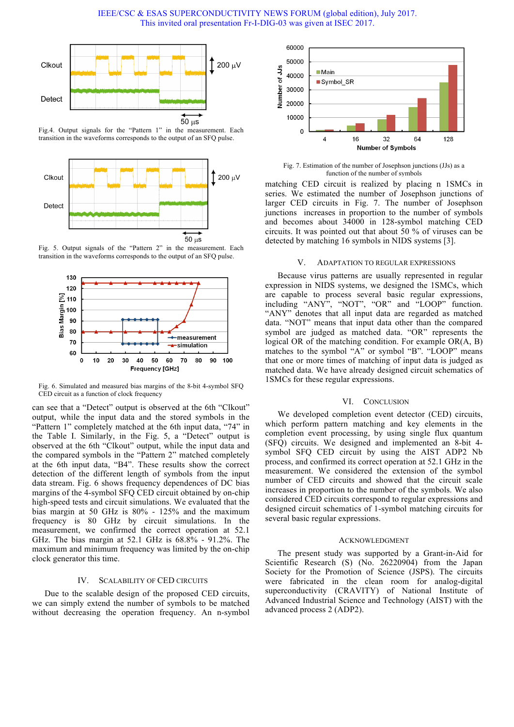IEEE/CSC & ESAS SUPERCONDUCTIVITY NEWS FORUM (global edition), July 2017. This invited oral presentation Fr-I-DIG-03 was given at ISEC 2017.



Fig.4. Output signals for the "Pattern 1" in the measurement. Each transition in the waveforms corresponds to the output of an SFQ pulse.



Fig. 5. Output signals of the "Pattern 2" in the measurement. Each transition in the waveforms corresponds to the output of an SFQ pulse.



Fig. 6. Simulated and measured bias margins of the 8-bit 4-symbol SFQ CED circuit as a function of clock frequency

can see that a "Detect" output is observed at the 6th "Clkout" output, while the input data and the stored symbols in the "Pattern 1" completely matched at the 6th input data, "74" in the Table I. Similarly, in the Fig. 5, a "Detect" output is observed at the 6th "Clkout" output, while the input data and the compared symbols in the "Pattern 2" matched completely at the 6th input data, "B4". These results show the correct detection of the different length of symbols from the input data stream. Fig. 6 shows frequency dependences of DC bias margins of the 4-symbol SFQ CED circuit obtained by on-chip high-speed tests and circuit simulations. We evaluated that the bias margin at 50 GHz is 80% - 125% and the maximum frequency is 80 GHz by circuit simulations. In the measurement, we confirmed the correct operation at 52.1 GHz. The bias margin at 52.1 GHz is 68.8% - 91.2%. The maximum and minimum frequency was limited by the on-chip clock generator this time.

#### IV. SCALABILITY OF CED CIRCUITS

Due to the scalable design of the proposed CED circuits, we can simply extend the number of symbols to be matched without decreasing the operation frequency. An n-symbol



Fig. 7. Estimation of the number of Josephson junctions (JJs) as a function of the number of symbols

matching CED circuit is realized by placing n 1SMCs in series. We estimated the number of Josephson junctions of larger CED circuits in Fig. 7. The number of Josephson junctions increases in proportion to the number of symbols and becomes about 34000 in 128-symbol matching CED circuits. It was pointed out that about 50 % of viruses can be detected by matching 16 symbols in NIDS systems [3].

#### V. ADAPTATION TO REGULAR EXPRESSIONS

Because virus patterns are usually represented in regular expression in NIDS systems, we designed the 1SMCs, which are capable to process several basic regular expressions, including "ANY", "NOT", "OR" and "LOOP" function. "ANY" denotes that all input data are regarded as matched data. "NOT" means that input data other than the compared symbol are judged as matched data. "OR" represents the logical OR of the matching condition. For example OR(A, B) matches to the symbol "A" or symbol "B". "LOOP" means that one or more times of matching of input data is judged as matched data. We have already designed circuit schematics of 1SMCs for these regular expressions.

#### VI. CONCLUSION

We developed completion event detector (CED) circuits, which perform pattern matching and key elements in the completion event processing, by using single flux quantum (SFQ) circuits. We designed and implemented an 8-bit 4 symbol SFQ CED circuit by using the AIST ADP2 Nb process, and confirmed its correct operation at 52.1 GHz in the measurement. We considered the extension of the symbol number of CED circuits and showed that the circuit scale increases in proportion to the number of the symbols. We also considered CED circuits correspond to regular expressions and designed circuit schematics of 1-symbol matching circuits for several basic regular expressions.

#### ACKNOWLEDGMENT

The present study was supported by a Grant-in-Aid for Scientific Research (S) (No. 26220904) from the Japan Society for the Promotion of Science (JSPS). The circuits were fabricated in the clean room for analog-digital superconductivity (CRAVITY) of National Institute of Advanced Industrial Science and Technology (AIST) with the advanced process 2 (ADP2).